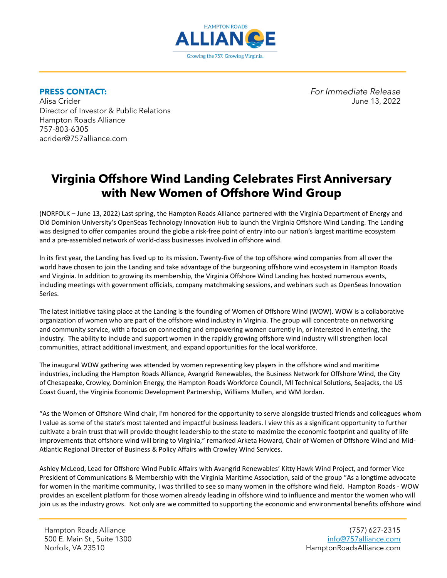

Alisa Crider June 13, 2022 Director of Investor & Public Relations Hampton Roads Alliance 757-803-6305 acrider@757alliance.com

**PRESS CONTACT:** *For Immediate Release*

## **Virginia Offshore Wind Landing Celebrates First Anniversary with New Women of Offshore Wind Group**

(NORFOLK – June 13, 2022) Last spring, the Hampton Roads Alliance partnered with the Virginia Department of Energy and Old Dominion University's OpenSeas Technology Innovation Hub to launch the Virginia Offshore Wind Landing. The Landing was designed to offer companies around the globe a risk-free point of entry into our nation's largest maritime ecosystem and a pre-assembled network of world-class businesses involved in offshore wind.

In its first year, the Landing has lived up to its mission. Twenty-five of the top offshore wind companies from all over the world have chosen to join the Landing and take advantage of the burgeoning offshore wind ecosystem in Hampton Roads and Virginia. In addition to growing its membership, the Virginia Offshore Wind Landing has hosted numerous events, including meetings with government officials, company matchmaking sessions, and webinars such as OpenSeas Innovation Series.

The latest initiative taking place at the Landing is the founding of Women of Offshore Wind (WOW). WOW is a collaborative organization of women who are part of the offshore wind industry in Virginia. The group will concentrate on networking and community service, with a focus on connecting and empowering women currently in, or interested in entering, the industry. The ability to include and support women in the rapidly growing offshore wind industry will strengthen local communities, attract additional investment, and expand opportunities for the local workforce.

The inaugural WOW gathering was attended by women representing key players in the offshore wind and maritime industries, including the Hampton Roads Alliance, Avangrid Renewables, the Business Network for Offshore Wind, the City of Chesapeake, Crowley, Dominion Energy, the Hampton Roads Workforce Council, MI Technical Solutions, Seajacks, the US Coast Guard, the Virginia Economic Development Partnership, Williams Mullen, and WM Jordan.

"As the Women of Offshore Wind chair, I'm honored for the opportunity to serve alongside trusted friends and colleagues whom I value as some of the state's most talented and impactful business leaders. I view this as a significant opportunity to further cultivate a brain trust that will provide thought leadership to the state to maximize the economic footprint and quality of life improvements that offshore wind will bring to Virginia," remarked Arketa Howard, Chair of Women of Offshore Wind and Mid-Atlantic Regional Director of Business & Policy Affairs with Crowley Wind Services.

Ashley McLeod, Lead for Offshore Wind Public Affairs with Avangrid Renewables' Kitty Hawk Wind Project, and former Vice President of Communications & Membership with the Virginia Maritime Association, said of the group "As a longtime advocate for women in the maritime community, I was thrilled to see so many women in the offshore wind field. Hampton Roads - WOW provides an excellent platform for those women already leading in offshore wind to influence and mentor the women who will join us as the industry grows. Not only are we committed to supporting the economic and environmental benefits offshore wind

Hampton Roads Alliance 500 E. Main St., Suite 1300 Norfolk, VA 23510

(757) 627-2315 [info@757alliance.com](mailto:info@757alliance.com) HamptonRoadsAlliance.com